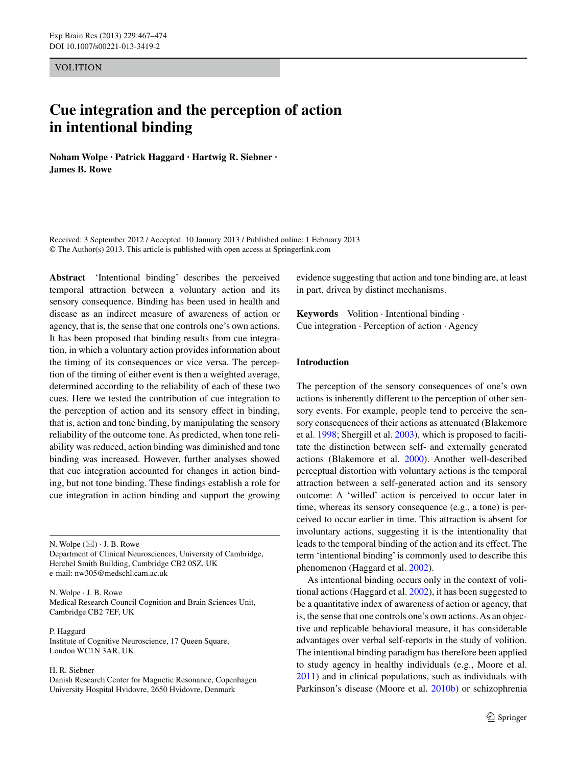VOLITION

# **Cue integration and the perception of action in intentional binding**

**Noham Wolpe · Patrick Haggard · Hartwig R. Siebner · James B. Rowe**

Received: 3 September 2012 / Accepted: 10 January 2013 / Published online: 1 February 2013 © The Author(s) 2013. This article is published with open access at Springerlink.com

**Abstract** 'Intentional binding' describes the perceived temporal attraction between a voluntary action and its sensory consequence. Binding has been used in health and disease as an indirect measure of awareness of action or agency, that is, the sense that one controls one's own actions. It has been proposed that binding results from cue integration, in which a voluntary action provides information about the timing of its consequences or vice versa. The perception of the timing of either event is then a weighted average, determined according to the reliability of each of these two cues. Here we tested the contribution of cue integration to the perception of action and its sensory effect in binding, that is, action and tone binding, by manipulating the sensory reliability of the outcome tone. As predicted, when tone reliability was reduced, action binding was diminished and tone binding was increased. However, further analyses showed that cue integration accounted for changes in action binding, but not tone binding. These findings establish a role for cue integration in action binding and support the growing

N. Wolpe  $(\boxtimes) \cdot$  J. B. Rowe Department of Clinical Neurosciences, University of Cambridge, Herchel Smith Building, Cambridge CB2 0SZ, UK e-mail: nw305@medschl.cam.ac.uk

N. Wolpe · J. B. Rowe Medical Research Council Cognition and Brain Sciences Unit, Cambridge CB2 7EF, UK

P. Haggard Institute of Cognitive Neuroscience, 17 Queen Square, London WC1N 3AR, UK

H. R. Siebner

Danish Research Center for Magnetic Resonance, Copenhagen University Hospital Hvidovre, 2650 Hvidovre, Denmark

evidence suggesting that action and tone binding are, at least in part, driven by distinct mechanisms.

**Keywords** Volition · Intentional binding · Cue integration · Perception of action · Agency

## **Introduction**

The perception of the sensory consequences of one's own actions is inherently different to the perception of other sensory events. For example, people tend to perceive the sensory consequences of their actions as attenuated (Blakemore et al. [1998;](#page-6-0) Shergill et al. [2003\)](#page-7-0), which is proposed to facilitate the distinction between self- and externally generated actions (Blakemore et al. [2000\)](#page-6-1). Another well-described perceptual distortion with voluntary actions is the temporal attraction between a self-generated action and its sensory outcome: A 'willed' action is perceived to occur later in time, whereas its sensory consequence (e.g., a tone) is perceived to occur earlier in time. This attraction is absent for involuntary actions, suggesting it is the intentionality that leads to the temporal binding of the action and its effect. The term 'intentional binding' is commonly used to describe this phenomenon (Haggard et al. [2002](#page-7-1)).

As intentional binding occurs only in the context of volitional actions (Haggard et al. [2002\)](#page-7-1), it has been suggested to be a quantitative index of awareness of action or agency, that is, the sense that one controls one's own actions. As an objective and replicable behavioral measure, it has considerable advantages over verbal self-reports in the study of volition. The intentional binding paradigm has therefore been applied to study agency in healthy individuals (e.g., Moore et al. [2011](#page-7-2)) and in clinical populations, such as individuals with Parkinson's disease (Moore et al. [2010b](#page-7-3)) or schizophrenia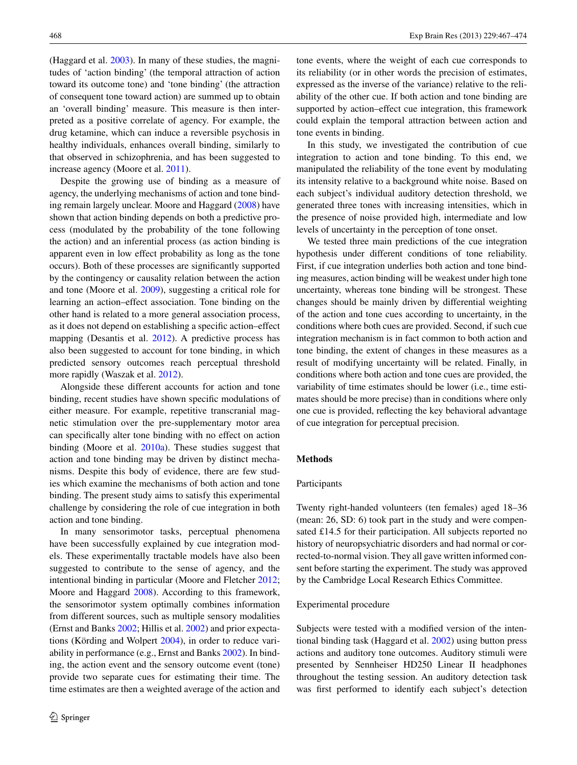(Haggard et al. [2003\)](#page-7-4). In many of these studies, the magnitudes of 'action binding' (the temporal attraction of action toward its outcome tone) and 'tone binding' (the attraction of consequent tone toward action) are summed up to obtain an 'overall binding' measure. This measure is then interpreted as a positive correlate of agency. For example, the drug ketamine, which can induce a reversible psychosis in healthy individuals, enhances overall binding, similarly to that observed in schizophrenia, and has been suggested to increase agency (Moore et al. [2011](#page-7-2)).

Despite the growing use of binding as a measure of agency, the underlying mechanisms of action and tone binding remain largely unclear. Moore and Haggard [\(2008](#page-7-5)) have shown that action binding depends on both a predictive process (modulated by the probability of the tone following the action) and an inferential process (as action binding is apparent even in low effect probability as long as the tone occurs). Both of these processes are significantly supported by the contingency or causality relation between the action and tone (Moore et al. [2009](#page-7-6)), suggesting a critical role for learning an action–effect association. Tone binding on the other hand is related to a more general association process, as it does not depend on establishing a specific action–effect mapping (Desantis et al. [2012](#page-7-7)). A predictive process has also been suggested to account for tone binding, in which predicted sensory outcomes reach perceptual threshold more rapidly (Waszak et al. [2012\)](#page-7-8).

Alongside these different accounts for action and tone binding, recent studies have shown specific modulations of either measure. For example, repetitive transcranial magnetic stimulation over the pre-supplementary motor area can specifically alter tone binding with no effect on action binding (Moore et al. [2010a\)](#page-7-9). These studies suggest that action and tone binding may be driven by distinct mechanisms. Despite this body of evidence, there are few studies which examine the mechanisms of both action and tone binding. The present study aims to satisfy this experimental challenge by considering the role of cue integration in both action and tone binding.

In many sensorimotor tasks, perceptual phenomena have been successfully explained by cue integration models. These experimentally tractable models have also been suggested to contribute to the sense of agency, and the intentional binding in particular (Moore and Fletcher [2012](#page-7-10); Moore and Haggard [2008](#page-7-5)). According to this framework, the sensorimotor system optimally combines information from different sources, such as multiple sensory modalities (Ernst and Banks [2002](#page-7-11); Hillis et al. [2002\)](#page-7-12) and prior expectations (Körding and Wolpert [2004\)](#page-7-13), in order to reduce variability in performance (e.g., Ernst and Banks [2002\)](#page-7-11). In binding, the action event and the sensory outcome event (tone) provide two separate cues for estimating their time. The time estimates are then a weighted average of the action and tone events, where the weight of each cue corresponds to its reliability (or in other words the precision of estimates, expressed as the inverse of the variance) relative to the reliability of the other cue. If both action and tone binding are supported by action–effect cue integration, this framework could explain the temporal attraction between action and tone events in binding.

In this study, we investigated the contribution of cue integration to action and tone binding. To this end, we manipulated the reliability of the tone event by modulating its intensity relative to a background white noise. Based on each subject's individual auditory detection threshold, we generated three tones with increasing intensities, which in the presence of noise provided high, intermediate and low levels of uncertainty in the perception of tone onset.

We tested three main predictions of the cue integration hypothesis under different conditions of tone reliability. First, if cue integration underlies both action and tone binding measures, action binding will be weakest under high tone uncertainty, whereas tone binding will be strongest. These changes should be mainly driven by differential weighting of the action and tone cues according to uncertainty, in the conditions where both cues are provided. Second, if such cue integration mechanism is in fact common to both action and tone binding, the extent of changes in these measures as a result of modifying uncertainty will be related. Finally, in conditions where both action and tone cues are provided, the variability of time estimates should be lower (i.e., time estimates should be more precise) than in conditions where only one cue is provided, reflecting the key behavioral advantage of cue integration for perceptual precision.

## **Methods**

#### Participants

Twenty right-handed volunteers (ten females) aged 18–36 (mean: 26, SD: 6) took part in the study and were compensated £14.5 for their participation. All subjects reported no history of neuropsychiatric disorders and had normal or corrected-to-normal vision. They all gave written informed consent before starting the experiment. The study was approved by the Cambridge Local Research Ethics Committee.

#### Experimental procedure

Subjects were tested with a modified version of the intentional binding task (Haggard et al. [2002\)](#page-7-1) using button press actions and auditory tone outcomes. Auditory stimuli were presented by Sennheiser HD250 Linear II headphones throughout the testing session. An auditory detection task was first performed to identify each subject's detection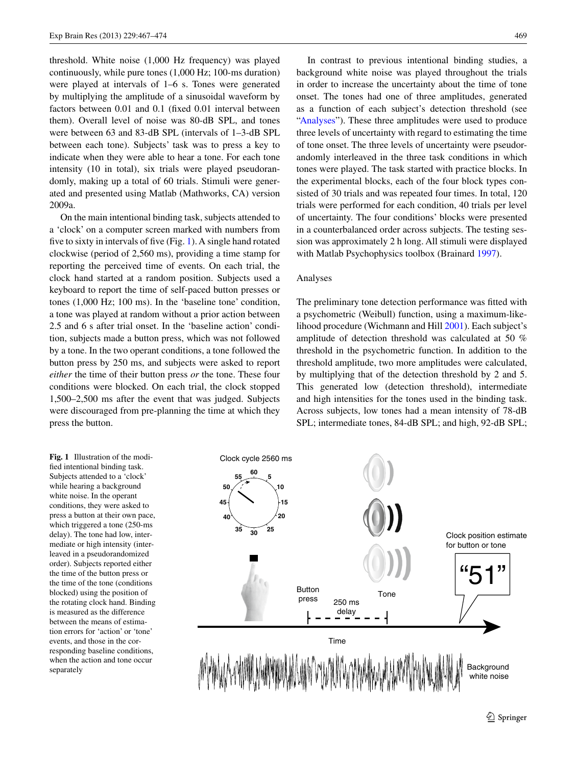threshold. White noise (1,000 Hz frequency) was played continuously, while pure tones (1,000 Hz; 100-ms duration) were played at intervals of 1–6 s. Tones were generated by multiplying the amplitude of a sinusoidal waveform by factors between 0.01 and 0.1 (fixed 0.01 interval between them). Overall level of noise was 80-dB SPL, and tones were between 63 and 83-dB SPL (intervals of 1–3-dB SPL between each tone). Subjects' task was to press a key to indicate when they were able to hear a tone. For each tone intensity (10 in total), six trials were played pseudorandomly, making up a total of 60 trials. Stimuli were generated and presented using Matlab (Mathworks, CA) version 2009a.

On the main intentional binding task, subjects attended to a 'clock' on a computer screen marked with numbers from five to sixty in intervals of five (Fig. [1\)](#page-2-0). A single hand rotated clockwise (period of 2,560 ms), providing a time stamp for reporting the perceived time of events. On each trial, the clock hand started at a random position. Subjects used a keyboard to report the time of self-paced button presses or tones (1,000 Hz; 100 ms). In the 'baseline tone' condition, a tone was played at random without a prior action between 2.5 and 6 s after trial onset. In the 'baseline action' condition, subjects made a button press, which was not followed by a tone. In the two operant conditions, a tone followed the button press by 250 ms, and subjects were asked to report *either* the time of their button press *or* the tone. These four conditions were blocked. On each trial, the clock stopped 1,500–2,500 ms after the event that was judged. Subjects were discouraged from pre-planning the time at which they press the button.

In contrast to previous intentional binding studies, a background white noise was played throughout the trials in order to increase the uncertainty about the time of tone onset. The tones had one of three amplitudes, generated as a function of each subject's detection threshold (see ["Analyses](#page-2-1)"). These three amplitudes were used to produce three levels of uncertainty with regard to estimating the time of tone onset. The three levels of uncertainty were pseudorandomly interleaved in the three task conditions in which tones were played. The task started with practice blocks. In the experimental blocks, each of the four block types consisted of 30 trials and was repeated four times. In total, 120 trials were performed for each condition, 40 trials per level of uncertainty. The four conditions' blocks were presented in a counterbalanced order across subjects. The testing session was approximately 2 h long. All stimuli were displayed with Matlab Psychophysics toolbox (Brainard [1997](#page-7-14)).

## <span id="page-2-1"></span>Analyses

The preliminary tone detection performance was fitted with a psychometric (Weibull) function, using a maximum-likelihood procedure (Wichmann and Hill [2001](#page-7-15)). Each subject's amplitude of detection threshold was calculated at 50 % threshold in the psychometric function. In addition to the threshold amplitude, two more amplitudes were calculated, by multiplying that of the detection threshold by 2 and 5. This generated low (detection threshold), intermediate and high intensities for the tones used in the binding task. Across subjects, low tones had a mean intensity of 78-dB SPL; intermediate tones, 84-dB SPL; and high, 92-dB SPL;

<span id="page-2-0"></span>**Fig. 1** Illustration of the modified intentional binding task. Subjects attended to a 'clock' while hearing a background white noise. In the operant conditions, they were asked to press a button at their own pace, which triggered a tone (250-ms delay). The tone had low, intermediate or high intensity (interleaved in a pseudorandomized order). Subjects reported either the time of the button press or the time of the tone (conditions blocked) using the position of the rotating clock hand. Binding is measured as the difference between the means of estimation errors for 'action' or 'tone' events, and those in the corresponding baseline conditions, when the action and tone occur separately

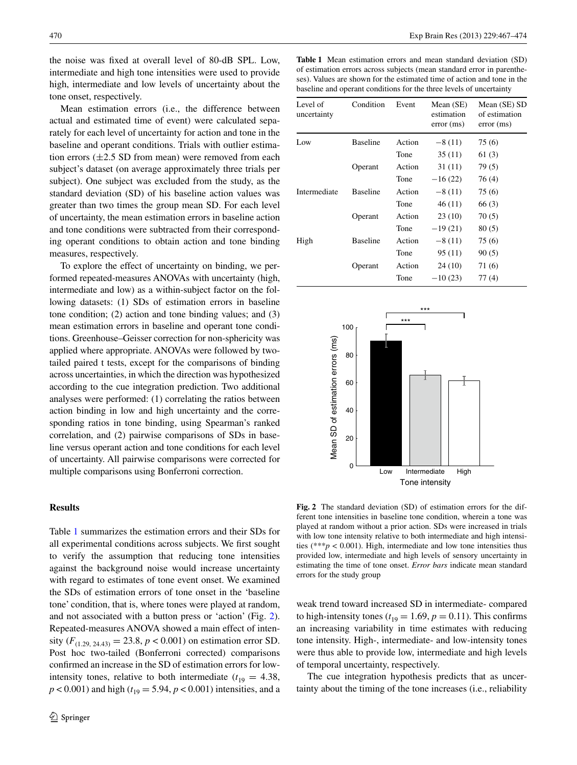the noise was fixed at overall level of 80-dB SPL. Low, intermediate and high tone intensities were used to provide high, intermediate and low levels of uncertainty about the tone onset, respectively.

Mean estimation errors (i.e., the difference between actual and estimated time of event) were calculated separately for each level of uncertainty for action and tone in the baseline and operant conditions. Trials with outlier estimation errors  $(\pm 2.5$  SD from mean) were removed from each subject's dataset (on average approximately three trials per subject). One subject was excluded from the study, as the standard deviation (SD) of his baseline action values was greater than two times the group mean SD. For each level of uncertainty, the mean estimation errors in baseline action and tone conditions were subtracted from their corresponding operant conditions to obtain action and tone binding measures, respectively.

To explore the effect of uncertainty on binding, we performed repeated-measures ANOVAs with uncertainty (high, intermediate and low) as a within-subject factor on the following datasets: (1) SDs of estimation errors in baseline tone condition; (2) action and tone binding values; and (3) mean estimation errors in baseline and operant tone conditions. Greenhouse–Geisser correction for non-sphericity was applied where appropriate. ANOVAs were followed by twotailed paired t tests, except for the comparisons of binding across uncertainties, in which the direction was hypothesized according to the cue integration prediction. Two additional analyses were performed: (1) correlating the ratios between action binding in low and high uncertainty and the corresponding ratios in tone binding, using Spearman's ranked correlation, and (2) pairwise comparisons of SDs in baseline versus operant action and tone conditions for each level of uncertainty. All pairwise comparisons were corrected for multiple comparisons using Bonferroni correction.

## **Results**

Table [1](#page-3-0) summarizes the estimation errors and their SDs for all experimental conditions across subjects. We first sought to verify the assumption that reducing tone intensities against the background noise would increase uncertainty with regard to estimates of tone event onset. We examined the SDs of estimation errors of tone onset in the 'baseline tone' condition, that is, where tones were played at random, and not associated with a button press or 'action' (Fig. [2](#page-3-1)). Repeated-measures ANOVA showed a main effect of intensity  $(F_{(1.29, 24.43)} = 23.8, p < 0.001)$  on estimation error SD. Post hoc two-tailed (Bonferroni corrected) comparisons confirmed an increase in the SD of estimation errors for lowintensity tones, relative to both intermediate  $(t_{19} = 4.38,$  $p < 0.001$ ) and high ( $t_{19} = 5.94$ ,  $p < 0.001$ ) intensities, and a

<span id="page-3-0"></span>**Table 1** Mean estimation errors and mean standard deviation (SD) of estimation errors across subjects (mean standard error in parentheses). Values are shown for the estimated time of action and tone in the baseline and operant conditions for the three levels of uncertainty

| Condition                                  | Event  | Mean (SE)<br>estimation<br>error(ms) | Mean (SE) SD<br>of estimation<br>error(ms) |
|--------------------------------------------|--------|--------------------------------------|--------------------------------------------|
| <b>Baseline</b><br>Low<br>Operant          | Action | $-8(11)$                             | 75(6)                                      |
|                                            | Tone   | 35(11)                               | 61(3)                                      |
|                                            | Action | 31 (11)                              | 79(5)                                      |
|                                            | Tone   | $-16(22)$                            | 76(4)                                      |
| Intermediate<br><b>Baseline</b><br>Operant | Action | $-8(11)$                             | 75(6)                                      |
|                                            | Tone   | 46(11)                               | 66(3)                                      |
|                                            | Action | 23(10)                               | 70(5)                                      |
|                                            | Tone   | $-19(21)$                            | 80(5)                                      |
| <b>Baseline</b><br>High<br>Operant         | Action | $-8(11)$                             | 75(6)                                      |
|                                            | Tone   | 95 (11)                              | 90(5)                                      |
|                                            | Action | 24(10)                               | 71 (6)                                     |
|                                            | Tone   | $-10(23)$                            | 77 (4)                                     |
|                                            |        |                                      |                                            |



<span id="page-3-1"></span>**Fig. 2** The standard deviation (SD) of estimation errors for the different tone intensities in baseline tone condition, wherein a tone was played at random without a prior action. SDs were increased in trials with low tone intensity relative to both intermediate and high intensities (\*\*\* $p < 0.001$ ). High, intermediate and low tone intensities thus provided low, intermediate and high levels of sensory uncertainty in estimating the time of tone onset. *Error bars* indicate mean standard errors for the study group

weak trend toward increased SD in intermediate- compared to high-intensity tones ( $t_{19} = 1.69$ ,  $p = 0.11$ ). This confirms an increasing variability in time estimates with reducing tone intensity. High-, intermediate- and low-intensity tones were thus able to provide low, intermediate and high levels of temporal uncertainty, respectively.

The cue integration hypothesis predicts that as uncertainty about the timing of the tone increases (i.e., reliability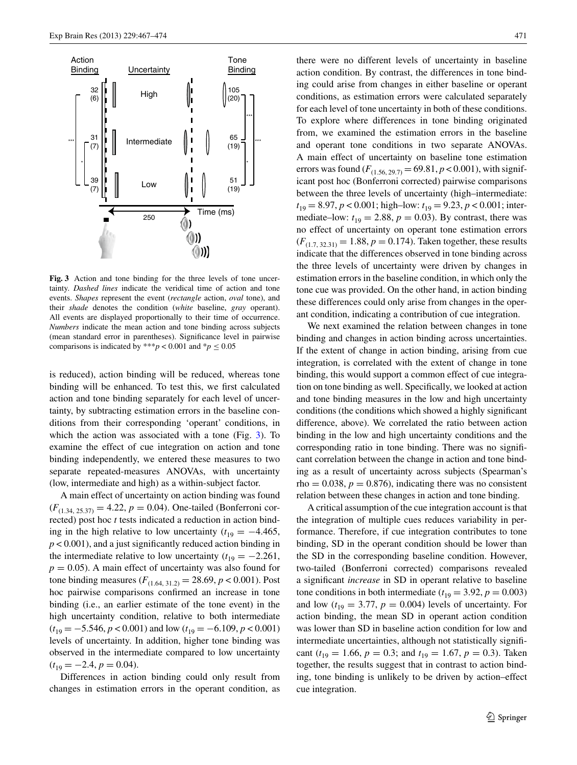

<span id="page-4-0"></span>**Fig. 3** Action and tone binding for the three levels of tone uncertainty. *Dashed lines* indicate the veridical time of action and tone events. *Shapes* represent the event (*rectangle* action, *oval* tone), and their *shade* denotes the condition (*white* baseline, *gray* operant). All events are displayed proportionally to their time of occurrence. *Numbers* indicate the mean action and tone binding across subjects (mean standard error in parentheses). Significance level in pairwise comparisons is indicated by \*\*\**p* < 0.001 and \**p*  $\leq$  0.05

is reduced), action binding will be reduced, whereas tone binding will be enhanced. To test this, we first calculated action and tone binding separately for each level of uncertainty, by subtracting estimation errors in the baseline conditions from their corresponding 'operant' conditions, in which the action was associated with a tone (Fig. [3](#page-4-0)). To examine the effect of cue integration on action and tone binding independently, we entered these measures to two separate repeated-measures ANOVAs, with uncertainty (low, intermediate and high) as a within-subject factor.

A main effect of uncertainty on action binding was found  $(F_{(1,34, 25,37)} = 4.22, p = 0.04)$ . One-tailed (Bonferroni corrected) post hoc *t* tests indicated a reduction in action binding in the high relative to low uncertainty  $(t_{19} = -4.465)$ , *p* < 0.001), and a just significantly reduced action binding in the intermediate relative to low uncertainty  $(t_{19} = -2.261,$  $p = 0.05$ ). A main effect of uncertainty was also found for tone binding measures  $(F_{(1.64, 31.2)} = 28.69, p < 0.001)$ . Post hoc pairwise comparisons confirmed an increase in tone binding (i.e., an earlier estimate of the tone event) in the high uncertainty condition, relative to both intermediate  $(t_{19} = -5.546, p < 0.001)$  and low  $(t_{19} = -6.109, p < 0.001)$ levels of uncertainty. In addition, higher tone binding was observed in the intermediate compared to low uncertainty  $(t_{19} = -2.4, p = 0.04).$ 

Differences in action binding could only result from changes in estimation errors in the operant condition, as there were no different levels of uncertainty in baseline action condition. By contrast, the differences in tone binding could arise from changes in either baseline or operant conditions, as estimation errors were calculated separately for each level of tone uncertainty in both of these conditions. To explore where differences in tone binding originated from, we examined the estimation errors in the baseline and operant tone conditions in two separate ANOVAs. A main effect of uncertainty on baseline tone estimation errors was found  $(F_{(1.56, 29.7)} = 69.81, p < 0.001)$ , with significant post hoc (Bonferroni corrected) pairwise comparisons between the three levels of uncertainty (high–intermediate:  $t_{19} = 8.97, p < 0.001$ ; high–low:  $t_{19} = 9.23, p < 0.001$ ; intermediate–low:  $t_{19} = 2.88$ ,  $p = 0.03$ ). By contrast, there was no effect of uncertainty on operant tone estimation errors  $(F_{(1,7, 32, 31)} = 1.88, p = 0.174)$ . Taken together, these results indicate that the differences observed in tone binding across the three levels of uncertainty were driven by changes in estimation errors in the baseline condition, in which only the tone cue was provided. On the other hand, in action binding these differences could only arise from changes in the operant condition, indicating a contribution of cue integration.

We next examined the relation between changes in tone binding and changes in action binding across uncertainties. If the extent of change in action binding, arising from cue integration, is correlated with the extent of change in tone binding, this would support a common effect of cue integration on tone binding as well. Specifically, we looked at action and tone binding measures in the low and high uncertainty conditions (the conditions which showed a highly significant difference, above). We correlated the ratio between action binding in the low and high uncertainty conditions and the corresponding ratio in tone binding. There was no significant correlation between the change in action and tone binding as a result of uncertainty across subjects (Spearman's rho  $= 0.038$ ,  $p = 0.876$ ), indicating there was no consistent relation between these changes in action and tone binding.

A critical assumption of the cue integration account is that the integration of multiple cues reduces variability in performance. Therefore, if cue integration contributes to tone binding, SD in the operant condition should be lower than the SD in the corresponding baseline condition. However, two-tailed (Bonferroni corrected) comparisons revealed a significant *increase* in SD in operant relative to baseline tone conditions in both intermediate  $(t_{19} = 3.92, p = 0.003)$ and low  $(t_{19} = 3.77, p = 0.004)$  levels of uncertainty. For action binding, the mean SD in operant action condition was lower than SD in baseline action condition for low and intermediate uncertainties, although not statistically significant ( $t_{19} = 1.66$ ,  $p = 0.3$ ; and  $t_{19} = 1.67$ ,  $p = 0.3$ ). Taken together, the results suggest that in contrast to action binding, tone binding is unlikely to be driven by action–effect cue integration.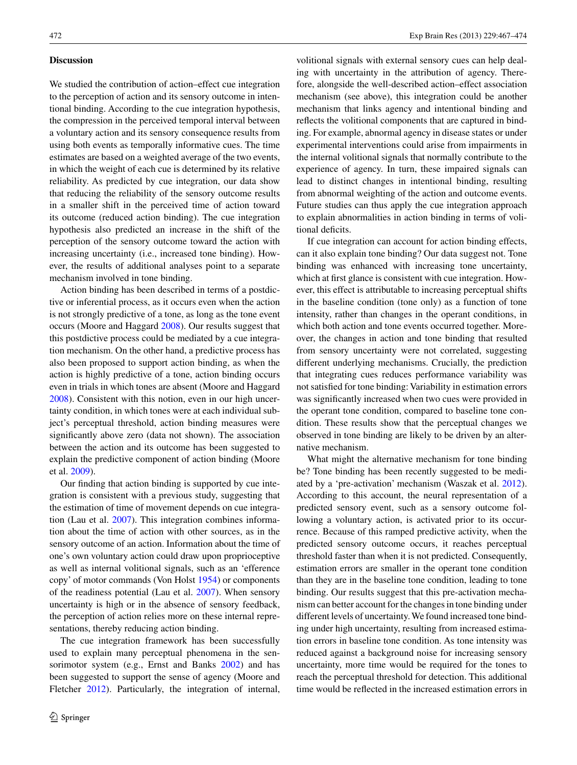#### **Discussion**

We studied the contribution of action–effect cue integration to the perception of action and its sensory outcome in intentional binding. According to the cue integration hypothesis, the compression in the perceived temporal interval between a voluntary action and its sensory consequence results from using both events as temporally informative cues. The time estimates are based on a weighted average of the two events, in which the weight of each cue is determined by its relative reliability. As predicted by cue integration, our data show that reducing the reliability of the sensory outcome results in a smaller shift in the perceived time of action toward its outcome (reduced action binding). The cue integration hypothesis also predicted an increase in the shift of the perception of the sensory outcome toward the action with increasing uncertainty (i.e., increased tone binding). However, the results of additional analyses point to a separate mechanism involved in tone binding.

Action binding has been described in terms of a postdictive or inferential process, as it occurs even when the action is not strongly predictive of a tone, as long as the tone event occurs (Moore and Haggard [2008](#page-7-5)). Our results suggest that this postdictive process could be mediated by a cue integration mechanism. On the other hand, a predictive process has also been proposed to support action binding, as when the action is highly predictive of a tone, action binding occurs even in trials in which tones are absent (Moore and Haggard [2008](#page-7-5)). Consistent with this notion, even in our high uncertainty condition, in which tones were at each individual subject's perceptual threshold, action binding measures were significantly above zero (data not shown). The association between the action and its outcome has been suggested to explain the predictive component of action binding (Moore et al. [2009\)](#page-7-6).

Our finding that action binding is supported by cue integration is consistent with a previous study, suggesting that the estimation of time of movement depends on cue integration (Lau et al. [2007\)](#page-7-16). This integration combines information about the time of action with other sources, as in the sensory outcome of an action. Information about the time of one's own voluntary action could draw upon proprioceptive as well as internal volitional signals, such as an 'efference copy' of motor commands (Von Holst [1954](#page-7-17)) or components of the readiness potential (Lau et al. [2007\)](#page-7-16). When sensory uncertainty is high or in the absence of sensory feedback, the perception of action relies more on these internal representations, thereby reducing action binding.

The cue integration framework has been successfully used to explain many perceptual phenomena in the sen-sorimotor system (e.g., Ernst and Banks [2002](#page-7-11)) and has been suggested to support the sense of agency (Moore and Fletcher [2012\)](#page-7-10). Particularly, the integration of internal,

volitional signals with external sensory cues can help dealing with uncertainty in the attribution of agency. Therefore, alongside the well-described action–effect association mechanism (see above), this integration could be another mechanism that links agency and intentional binding and reflects the volitional components that are captured in binding. For example, abnormal agency in disease states or under experimental interventions could arise from impairments in the internal volitional signals that normally contribute to the experience of agency. In turn, these impaired signals can lead to distinct changes in intentional binding, resulting from abnormal weighting of the action and outcome events. Future studies can thus apply the cue integration approach to explain abnormalities in action binding in terms of volitional deficits.

If cue integration can account for action binding effects, can it also explain tone binding? Our data suggest not. Tone binding was enhanced with increasing tone uncertainty, which at first glance is consistent with cue integration. However, this effect is attributable to increasing perceptual shifts in the baseline condition (tone only) as a function of tone intensity, rather than changes in the operant conditions, in which both action and tone events occurred together. Moreover, the changes in action and tone binding that resulted from sensory uncertainty were not correlated, suggesting different underlying mechanisms. Crucially, the prediction that integrating cues reduces performance variability was not satisfied for tone binding: Variability in estimation errors was significantly increased when two cues were provided in the operant tone condition, compared to baseline tone condition. These results show that the perceptual changes we observed in tone binding are likely to be driven by an alternative mechanism.

What might the alternative mechanism for tone binding be? Tone binding has been recently suggested to be mediated by a 'pre-activation' mechanism (Waszak et al. [2012](#page-7-8)). According to this account, the neural representation of a predicted sensory event, such as a sensory outcome following a voluntary action, is activated prior to its occurrence. Because of this ramped predictive activity, when the predicted sensory outcome occurs, it reaches perceptual threshold faster than when it is not predicted. Consequently, estimation errors are smaller in the operant tone condition than they are in the baseline tone condition, leading to tone binding. Our results suggest that this pre-activation mechanism can better account for the changes in tone binding under different levels of uncertainty. We found increased tone binding under high uncertainty, resulting from increased estimation errors in baseline tone condition. As tone intensity was reduced against a background noise for increasing sensory uncertainty, more time would be required for the tones to reach the perceptual threshold for detection. This additional time would be reflected in the increased estimation errors in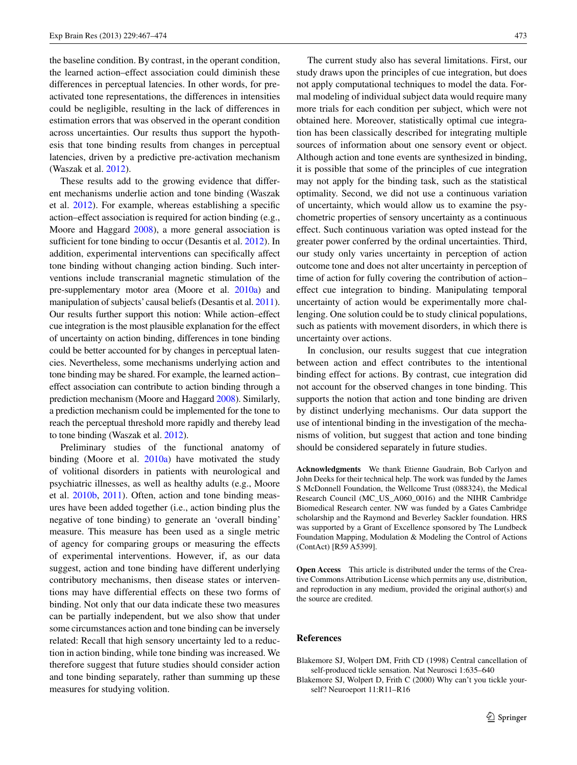the baseline condition. By contrast, in the operant condition, the learned action–effect association could diminish these differences in perceptual latencies. In other words, for preactivated tone representations, the differences in intensities could be negligible, resulting in the lack of differences in estimation errors that was observed in the operant condition across uncertainties. Our results thus support the hypothesis that tone binding results from changes in perceptual latencies, driven by a predictive pre-activation mechanism (Waszak et al. [2012\)](#page-7-8).

These results add to the growing evidence that different mechanisms underlie action and tone binding (Waszak et al. [2012](#page-7-8)). For example, whereas establishing a specific action–effect association is required for action binding (e.g., Moore and Haggard [2008](#page-7-5)), a more general association is sufficient for tone binding to occur (Desantis et al. [2012\)](#page-7-7). In addition, experimental interventions can specifically affect tone binding without changing action binding. Such interventions include transcranial magnetic stimulation of the pre-supplementary motor area (Moore et al. [2010a](#page-7-9)) and manipulation of subjects' causal beliefs (Desantis et al. [2011](#page-7-18)). Our results further support this notion: While action–effect cue integration is the most plausible explanation for the effect of uncertainty on action binding, differences in tone binding could be better accounted for by changes in perceptual latencies. Nevertheless, some mechanisms underlying action and tone binding may be shared. For example, the learned action– effect association can contribute to action binding through a prediction mechanism (Moore and Haggard [2008](#page-7-5)). Similarly, a prediction mechanism could be implemented for the tone to reach the perceptual threshold more rapidly and thereby lead to tone binding (Waszak et al. [2012](#page-7-8)).

Preliminary studies of the functional anatomy of binding (Moore et al. [2010a](#page-7-9)) have motivated the study of volitional disorders in patients with neurological and psychiatric illnesses, as well as healthy adults (e.g., Moore et al. [2010b](#page-7-3), [2011](#page-7-2)). Often, action and tone binding measures have been added together (i.e., action binding plus the negative of tone binding) to generate an 'overall binding' measure. This measure has been used as a single metric of agency for comparing groups or measuring the effects of experimental interventions. However, if, as our data suggest, action and tone binding have different underlying contributory mechanisms, then disease states or interventions may have differential effects on these two forms of binding. Not only that our data indicate these two measures can be partially independent, but we also show that under some circumstances action and tone binding can be inversely related: Recall that high sensory uncertainty led to a reduction in action binding, while tone binding was increased. We therefore suggest that future studies should consider action and tone binding separately, rather than summing up these measures for studying volition.

The current study also has several limitations. First, our study draws upon the principles of cue integration, but does not apply computational techniques to model the data. Formal modeling of individual subject data would require many more trials for each condition per subject, which were not obtained here. Moreover, statistically optimal cue integration has been classically described for integrating multiple sources of information about one sensory event or object. Although action and tone events are synthesized in binding, it is possible that some of the principles of cue integration may not apply for the binding task, such as the statistical optimality. Second, we did not use a continuous variation of uncertainty, which would allow us to examine the psychometric properties of sensory uncertainty as a continuous effect. Such continuous variation was opted instead for the greater power conferred by the ordinal uncertainties. Third, our study only varies uncertainty in perception of action outcome tone and does not alter uncertainty in perception of time of action for fully covering the contribution of action– effect cue integration to binding. Manipulating temporal uncertainty of action would be experimentally more challenging. One solution could be to study clinical populations, such as patients with movement disorders, in which there is uncertainty over actions.

In conclusion, our results suggest that cue integration between action and effect contributes to the intentional binding effect for actions. By contrast, cue integration did not account for the observed changes in tone binding. This supports the notion that action and tone binding are driven by distinct underlying mechanisms. Our data support the use of intentional binding in the investigation of the mechanisms of volition, but suggest that action and tone binding should be considered separately in future studies.

**Acknowledgments** We thank Etienne Gaudrain, Bob Carlyon and John Deeks for their technical help. The work was funded by the James S McDonnell Foundation, the Wellcome Trust (088324), the Medical Research Council (MC\_US\_A060\_0016) and the NIHR Cambridge Biomedical Research center. NW was funded by a Gates Cambridge scholarship and the Raymond and Beverley Sackler foundation. HRS was supported by a Grant of Excellence sponsored by The Lundbeck Foundation Mapping, Modulation & Modeling the Control of Actions (ContAct) [R59 A5399].

**Open Access** This article is distributed under the terms of the Creative Commons Attribution License which permits any use, distribution, and reproduction in any medium, provided the original author(s) and the source are credited.

### **References**

<span id="page-6-0"></span>Blakemore SJ, Wolpert DM, Frith CD (1998) Central cancellation of self-produced tickle sensation. Nat Neurosci 1:635–640

<span id="page-6-1"></span>Blakemore SJ, Wolpert D, Frith C (2000) Why can't you tickle yourself? Neuroeport 11:R11–R16